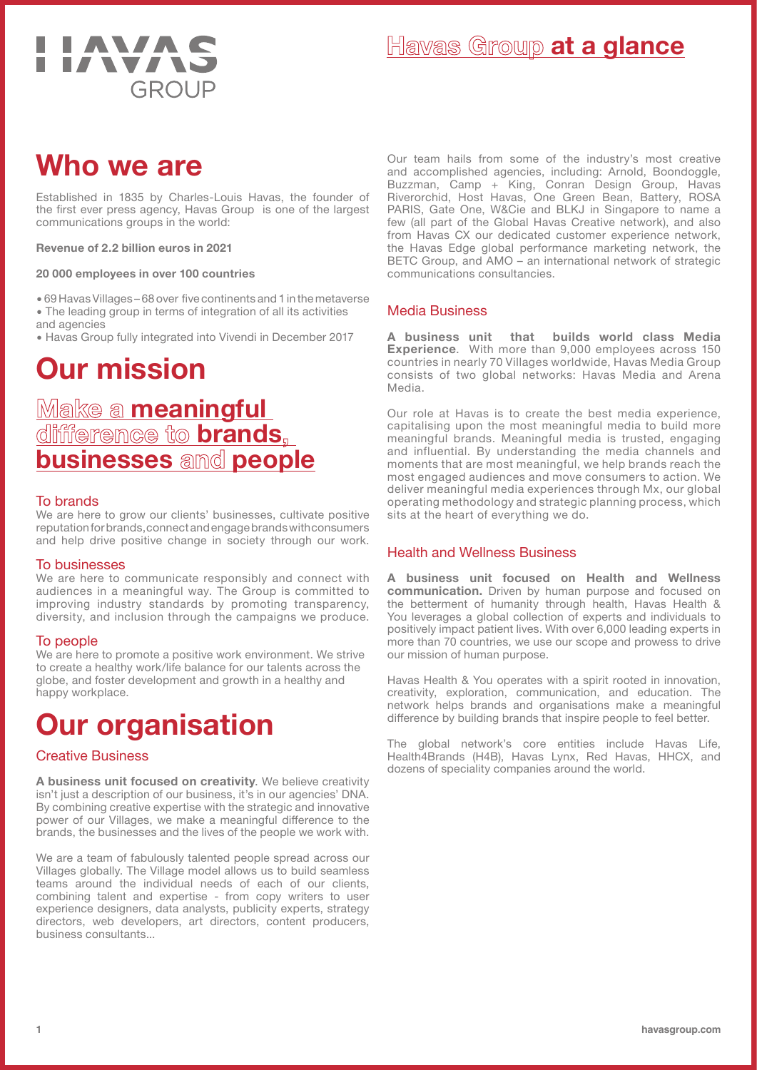

### **Who we are**

Established in 1835 by Charles-Louis Havas, the founder of the first ever press agency, Havas Group is one of the largest communications groups in the world:

#### **Revenue of 2.2 billion euros in 2021**

#### **20 000 employees in over 100 countries**

� 69 Havas Villages – 68 over five continents and 1 in the metaverse � The leading group in terms of integration of all its activities and agencies

� Havas Group fully integrated into Vivendi in December 2017

# **Our mission**

# **Make a meaningful difference to brands, businesses and people**

#### To brands

We are here to grow our clients' businesses, cultivate positive reputation for brands, connect and engage brands with consumers and help drive positive change in society through our work.

#### To businesses

We are here to communicate responsibly and connect with audiences in a meaningful way. The Group is committed to improving industry standards by promoting transparency, diversity, and inclusion through the campaigns we produce.

#### To people

We are here to promote a positive work environment. We strive to create a healthy work/life balance for our talents across the globe, and foster development and growth in a healthy and happy workplace.

# **Our organisation**

#### Creative Business

**A business unit focused on creativity**. We believe creativity isn't just a description of our business, it's in our agencies' DNA. By combining creative expertise with the strategic and innovative power of our Villages, we make a meaningful difference to the brands, the businesses and the lives of the people we work with.

We are a team of fabulously talented people spread across our Villages globally. The Village model allows us to build seamless teams around the individual needs of each of our clients, combining talent and expertise - from copy writers to user experience designers, data analysts, publicity experts, strategy directors, web developers, art directors, content producers, business consultants...

Our team hails from some of the industry's most creative and accomplished agencies, including: Arnold, Boondoggle, Buzzman, Camp + King, Conran Design Group, Havas Riverorchid, Host Havas, One Green Bean, Battery, ROSA PARIS, Gate One, W&Cie and BLKJ in Singapore to name a few (all part of the Global Havas Creative network), and also from Havas CX our dedicated customer experience network, the Havas Edge global performance marketing network, the BETC Group, and AMO – an international network of strategic communications consultancies.

#### Media Business

**A business unit that builds world class Media Experience**. With more than 9,000 employees across 150 countries in nearly 70 Villages worldwide, Havas Media Group consists of two global networks: Havas Media and Arena Media.

Our role at Havas is to create the best media experience, capitalising upon the most meaningful media to build more meaningful brands. Meaningful media is trusted, engaging and influential. By understanding the media channels and moments that are most meaningful, we help brands reach the most engaged audiences and move consumers to action. We deliver meaningful media experiences through Mx, our global operating methodology and strategic planning process, which sits at the heart of everything we do.

#### Health and Wellness Business

**A business unit focused on Health and Wellness communication.** Driven by human purpose and focused on the betterment of humanity through health, Havas Health & You leverages a global collection of experts and individuals to positively impact patient lives. With over 6,000 leading experts in more than 70 countries, we use our scope and prowess to drive our mission of human purpose.

Havas Health & You operates with a spirit rooted in innovation, creativity, exploration, communication, and education. The network helps brands and organisations make a meaningful difference by building brands that inspire people to feel better.

The global network's core entities include Havas Life, Health4Brands (H4B), Havas Lynx, Red Havas, HHCX, and dozens of speciality companies around the world.